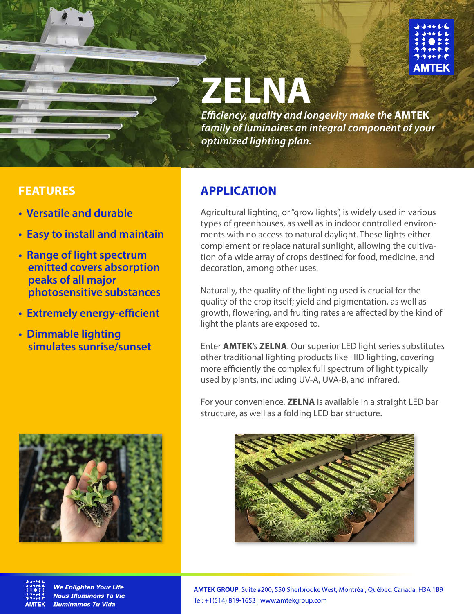

# **ZELNA**

*Eciency, quality and longevity make the* **AMTEK** *family of luminaires an integral component of your optimized lighting plan.*

- **Versatile and durable**
- **Easy to install and maintain**
- **Range of light spectrum emitted covers absorption peaks of all major photosensitive substances**
- **Extremely energy-efficient**
- **Dimmable lighting simulates sunrise/sunset**



### **FEATURES APPLICATION**

Agricultural lighting, or "grow lights", is widely used in various types of greenhouses, as well as in indoor controlled environments with no access to natural daylight. These lights either complement or replace natural sunlight, allowing the cultivation of a wide array of crops destined for food, medicine, and decoration, among other uses.

Naturally, the quality of the lighting used is crucial for the quality of the crop itself; yield and pigmentation, as well as growth, flowering, and fruiting rates are affected by the kind of light the plants are exposed to.

Enter **AMTEK**'s **ZELNA**. Our superior LED light series substitutes other traditional lighting products like HID lighting, covering more efficiently the complex full spectrum of light typically used by plants, including UV-A, UVA-B, and infrared.

For your convenience, **ZELNA** is available in a straight LED bar structure, as well as a folding LED bar structure.





We Enlighten Your Life **Nous Illuminons Ta Vie Iluminamos Tu Vida**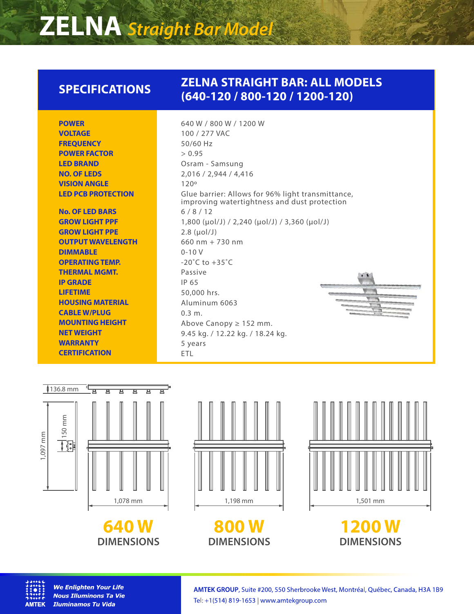## **ZELNA** *Straight Bar Model*

#### **ZELNA STRAIGHT BAR: ALL MODELS (640-120 / 800-120 / 1200-120) SPECIFICATIONS**

| <b>POWER</b>        |
|---------------------|
| <b>VOLTAGE</b>      |
| <b>FREQUENCY</b>    |
| <b>POWER FACTOR</b> |
| <b>LED BRAND</b>    |
| <b>NO. OF LEDS</b>  |
| <b>VISION ANGLE</b> |
| LED PCB PROTECTION  |
|                     |

**No. OF LED BARS GROW LIGHT PPF GROW LIGHT PPE OUTPUT WAVELENGTH DIMMABLE OPERATING TEMP. THERMAL MGMT. IP GRADE LIFETIME HOUSING MATERIAL CABLE W/PLUG MOUNTING HEIGHT NET WEIGHT WARRANTY CERTIFICATION**

640 W / 800 W / 1200 W 100 / 277 VAC 50/60 Hz  $> 0.95$ Osram - Samsung 2,016 / 2,944 / 4,416 120º Glue barrier: Allows for 96% light transmittance, improving watertightness and dust protection 6 / 8 / 12 1,800 (µol/J) / 2,240 (µol/J) / 3,360 (µol/J) 2.8 (µol/J) 660 nm + 730 nm 0-10 V  $-20^{\circ}$ C to  $+35^{\circ}$ C Passive IP 65 50,000 hrs. Aluminum 6063 0.3 m. Above Canopy ≥ 152 mm. 9.45 kg. / 12.22 kg. / 18.24 kg. 5 years ETL



**640 W DIMENSIONS**



**800 W DIMENSIONS**



**1200 W DIMENSIONS**



**We Enlighten Your Life Nous Illuminons Ta Vie Iluminamos Tu Vida**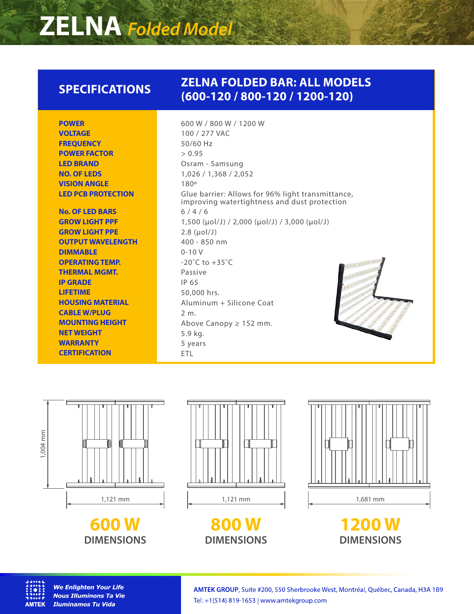## **ZELNA** *Folded Model*

### **SPECIFICATIONS**

#### **ZELNA FOLDED BAR: ALL MODELS (600-120 / 800-120 / 1200-120)**

**POWER VOLTAGE FREQUENCY POWER FACTOR LED BRAND NO. OF LEDS VISION ANGLE LED PCB PROTECTION**

**No. OF LED BARS GROW LIGHT PPF GROW LIGHT PPE OUTPUT WAVELENGTH DIMMABLE OPERATING TEMP. THERMAL MGMT. IP GRADE LIFETIME HOUSING MATERIAL CABLE W/PLUG MOUNTING HEIGHT NET WEIGHT WARRANTY CERTIFICATION**

600 W / 800 W / 1200 W 100 / 277 VAC 50/60 Hz  $> 0.95$ Osram - Samsung 1,026 / 1,368 / 2,052 180º Glue barrier: Allows for 96% light transmittance, improving watertightness and dust protection  $6/4/6$ 1,500 (µol/J) / 2,000 (µol/J) / 3,000 (µol/J) 2.8 (µol/J) 400 - 850 nm 0-10 V  $-20^{\circ}$ C to  $+35^{\circ}$ C Passive IP 65 50,000 hrs. Aluminum + Silicone Coat 2 m. Above Canopy ≥ 152 mm. 5.9 kg. 5 years ETL







**800 W DIMENSIONS**







**We Enlighten Your Life Nous Illuminons Ta Vie Iluminamos Tu Vida**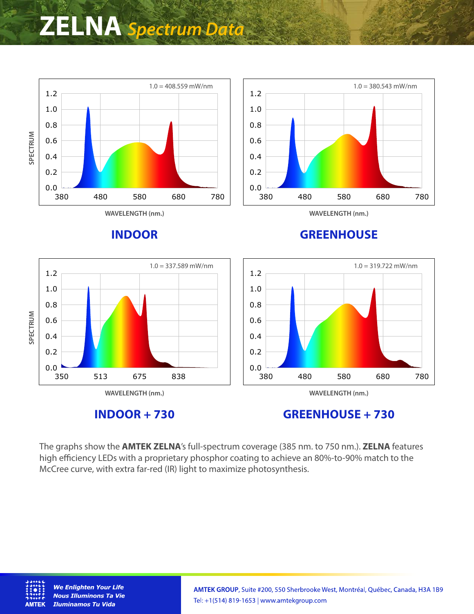## **ZELNA** *Spectrum Data*



**INDOOR + 730**

**GREENHOUSE + 730**

The graphs show the **AMTEK ZELNA**'s full-spectrum coverage (385 nm. to 750 nm.). **ZELNA** features high efficiency LEDs with a proprietary phosphor coating to achieve an 80%-to-90% match to the McCree curve, with extra far-red (IR) light to maximize photosynthesis.



**We Enlighten Your Life Nous Illuminons Ta Vie Iluminamos Tu Vida**